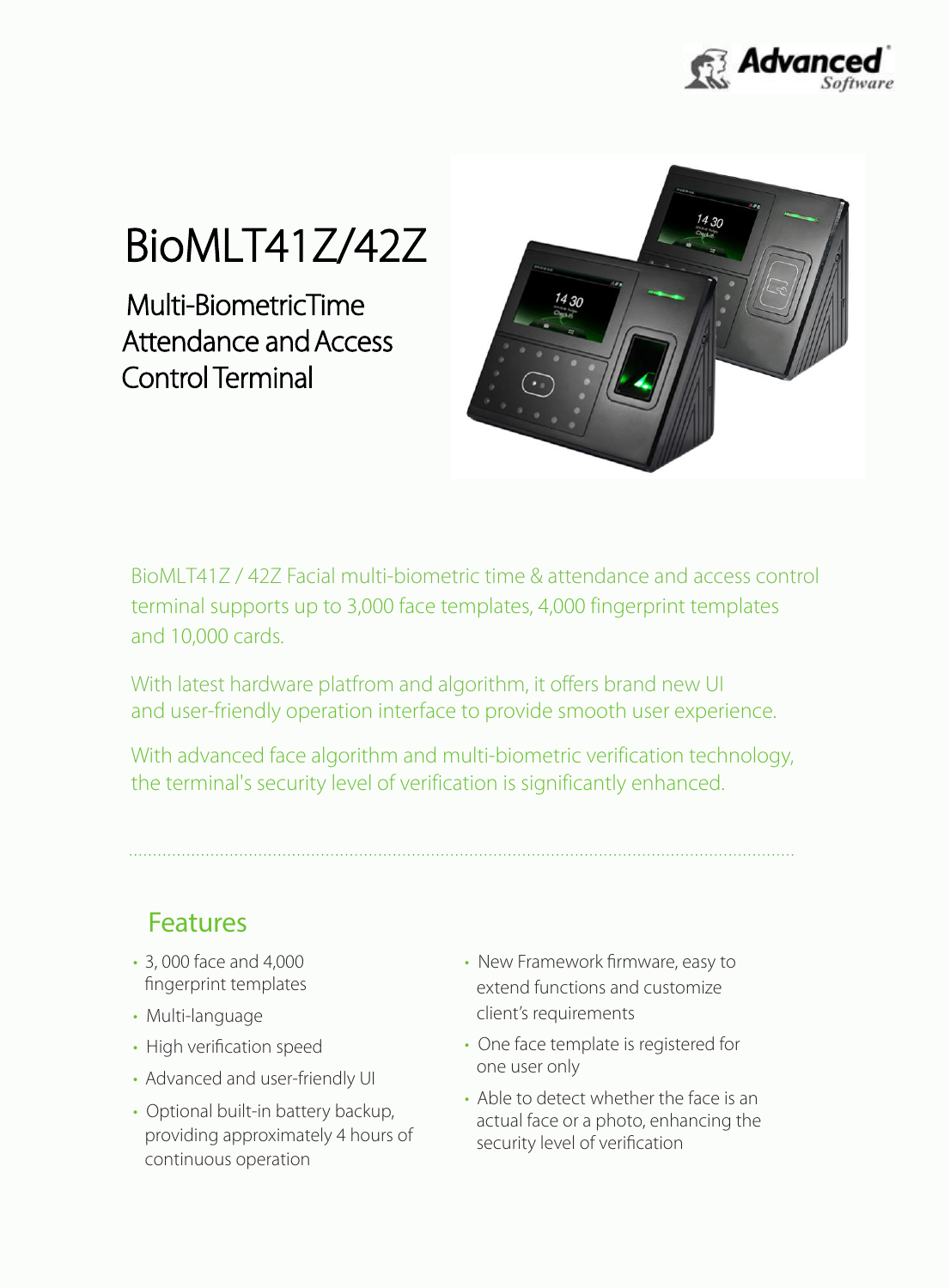

## BioMLT41Z/42Z

Control Terminal Attendance and Access Multi-BiometricTime



BioMLT41Z / 42Z Facial multi-biometric time & attendance and access control terminal supports up to 3,000 face templates, 4,000 fingerprint templates and 10,000 cards.

With latest hardware platfrom and algorithm, it offers brand new UI and user-friendly operation interface to provide smooth user experience.

With advanced face algorithm and multi-biometric verification technology, the terminal's security level of verification is significantly enhanced.

Features

- 3, 000 face and 4,000 fingerprint templates
- Multi-language
- High verification speed
- Advanced and user-friendly UI
- Optional built-in battery backup, providing approximately 4 hours of continuous operation
- New Framework firmware, easy to extend functions and customize client's requirements
- One face template is registered for one user only
- Able to detect whether the face is an actual face or a photo, enhancing the security level of verification